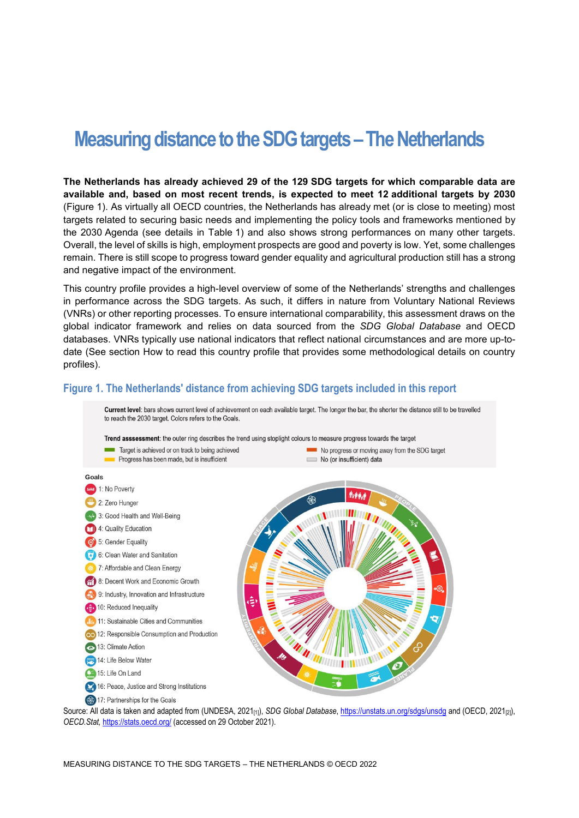# **Measuring distance to the SDG targets –The Netherlands**

**The Netherlands has already achieved 29 of the 129 SDG targets for which comparable data are available and, based on most recent trends, is expected to meet 12 additional targets by 2030** [\(Figure](#page-0-0) 1). As virtually all OECD countries, the Netherlands has already met (or is close to meeting) most targets related to securing basic needs and implementing the policy tools and frameworks mentioned by the 2030 Agenda (see details in [Table](#page-3-0) 1) and also shows strong performances on many other targets. Overall, the level of skills is high, employment prospects are good and poverty is low. Yet, some challenges remain. There is still scope to progress toward gender equality and agricultural production still has a strong and negative impact of the environment.

This country profile provides a high-level overview of some of the Netherlands' strengths and challenges in performance across the SDG targets. As such, it differs in nature from Voluntary National Reviews (VNRs) or other reporting processes. To ensure international comparability, this assessment draws on the global indicator framework and relies on data sourced from the *SDG Global Database* and OECD databases. VNRs typically use national indicators that reflect national circumstances and are more up-todate (See section [How to read this](#page-7-0) country profile that provides some methodological details on country profiles).

## <span id="page-0-0"></span>**Figure 1. The Netherlands' distance from achieving SDG targets included in this report**

Current level: bars shows current level of achievement on each available target. The longer the bar, the shorter the distance still to be travelled to reach the 2030 target. Colors refers to the Goals





Source: All data is taken and adapted from (UNDESA, 2021<sub>[1]</sub>), *SDG Global Database*[, https://unstats.un.org/sdgs/unsdg](https://unstats.un.org/sdgs/unsdg) and (OECD, 2021<sub>[2]</sub>), *OECD.Stat,* <https://stats.oecd.org/> (accessed on 29 October 2021).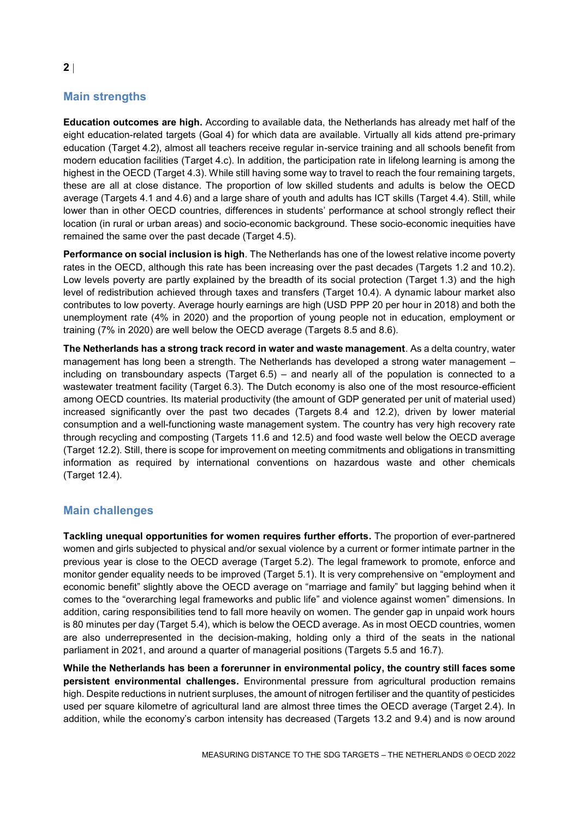# **Main strengths**

**Education outcomes are high.** According to available data, the Netherlands has already met half of the eight education-related targets (Goal 4) for which data are available. Virtually all kids attend pre-primary education (Target 4.2), almost all teachers receive regular in-service training and all schools benefit from modern education facilities (Target 4.c). In addition, the participation rate in lifelong learning is among the highest in the OECD (Target 4.3). While still having some way to travel to reach the four remaining targets, these are all at close distance. The proportion of low skilled students and adults is below the OECD average (Targets 4.1 and 4.6) and a large share of youth and adults has ICT skills (Target 4.4). Still, while lower than in other OECD countries, differences in students' performance at school strongly reflect their location (in rural or urban areas) and socio-economic background. These socio-economic inequities have remained the same over the past decade (Target 4.5).

**Performance on social inclusion is high**. The Netherlands has one of the lowest relative income poverty rates in the OECD, although this rate has been increasing over the past decades (Targets 1.2 and 10.2). Low levels poverty are partly explained by the breadth of its social protection (Target 1.3) and the high level of redistribution achieved through taxes and transfers (Target 10.4). A dynamic labour market also contributes to low poverty. Average hourly earnings are high (USD PPP 20 per hour in 2018) and both the unemployment rate (4% in 2020) and the proportion of young people not in education, employment or training (7% in 2020) are well below the OECD average (Targets 8.5 and 8.6).

**The Netherlands has a strong track record in water and waste management**. As a delta country, water management has long been a strength. The Netherlands has developed a strong water management – including on transboundary aspects (Target 6.5) – and nearly all of the population is connected to a wastewater treatment facility (Target 6.3). The Dutch economy is also one of the most resource-efficient among OECD countries. Its material productivity (the amount of GDP generated per unit of material used) increased significantly over the past two decades (Targets 8.4 and 12.2), driven by lower material consumption and a well-functioning waste management system. The country has very high recovery rate through recycling and composting (Targets 11.6 and 12.5) and food waste well below the OECD average (Target 12.2). Still, there is scope for improvement on meeting commitments and obligations in transmitting information as required by international conventions on hazardous waste and other chemicals (Target 12.4).

## **Main challenges**

**Tackling unequal opportunities for women requires further efforts.** The proportion of ever-partnered women and girls subjected to physical and/or sexual violence by a current or former intimate partner in the previous year is close to the OECD average (Target 5.2). The legal framework to promote, enforce and monitor gender equality needs to be improved (Target 5.1). It is very comprehensive on "employment and economic benefit" slightly above the OECD average on "marriage and family" but lagging behind when it comes to the "overarching legal frameworks and public life" and violence against women" dimensions. In addition, caring responsibilities tend to fall more heavily on women. The gender gap in unpaid work hours is 80 minutes per day (Target 5.4), which is below the OECD average. As in most OECD countries, women are also underrepresented in the decision-making, holding only a third of the seats in the national parliament in 2021, and around a quarter of managerial positions (Targets 5.5 and 16.7).

**While the Netherlands has been a forerunner in environmental policy, the country still faces some persistent environmental challenges.** Environmental pressure from agricultural production remains high. Despite reductions in nutrient surpluses, the amount of nitrogen fertiliser and the quantity of pesticides used per square kilometre of agricultural land are almost three times the OECD average (Target 2.4). In addition, while the economy's carbon intensity has decreased (Targets 13.2 and 9.4) and is now around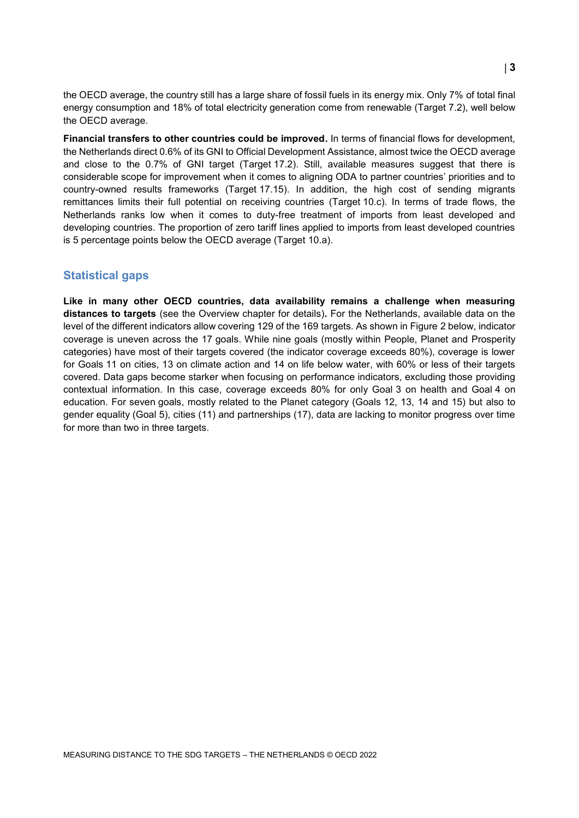the OECD average, the country still has a large share of fossil fuels in its energy mix. Only 7% of total final energy consumption and 18% of total electricity generation come from renewable (Target 7.2), well below the OECD average.

**Financial transfers to other countries could be improved.** In terms of financial flows for development, the Netherlands direct 0.6% of its GNI to Official Development Assistance, almost twice the OECD average and close to the 0.7% of GNI target (Target 17.2). Still, available measures suggest that there is considerable scope for improvement when it comes to aligning ODA to partner countries' priorities and to country-owned results frameworks (Target 17.15). In addition, the high cost of sending migrants remittances limits their full potential on receiving countries (Target 10.c). In terms of trade flows, the Netherlands ranks low when it comes to duty-free treatment of imports from least developed and developing countries. The proportion of zero tariff lines applied to imports from least developed countries is 5 percentage points below the OECD average (Target 10.a).

## **Statistical gaps**

**Like in many other OECD countries, data availability remains a challenge when measuring distances to targets** (see the Overview chapter for details)**.** For the Netherlands, available data on the level of the different indicators allow covering 129 of the 169 targets. As shown in [Figure](#page-3-1) 2 below, indicator coverage is uneven across the 17 goals. While nine goals (mostly within People, Planet and Prosperity categories) have most of their targets covered (the indicator coverage exceeds 80%), coverage is lower for Goals 11 on cities, 13 on climate action and 14 on life below water, with 60% or less of their targets covered. Data gaps become starker when focusing on performance indicators, excluding those providing contextual information. In this case, coverage exceeds 80% for only Goal 3 on health and Goal 4 on education. For seven goals, mostly related to the Planet category (Goals 12, 13, 14 and 15) but also to gender equality (Goal 5), cities (11) and partnerships (17), data are lacking to monitor progress over time for more than two in three targets.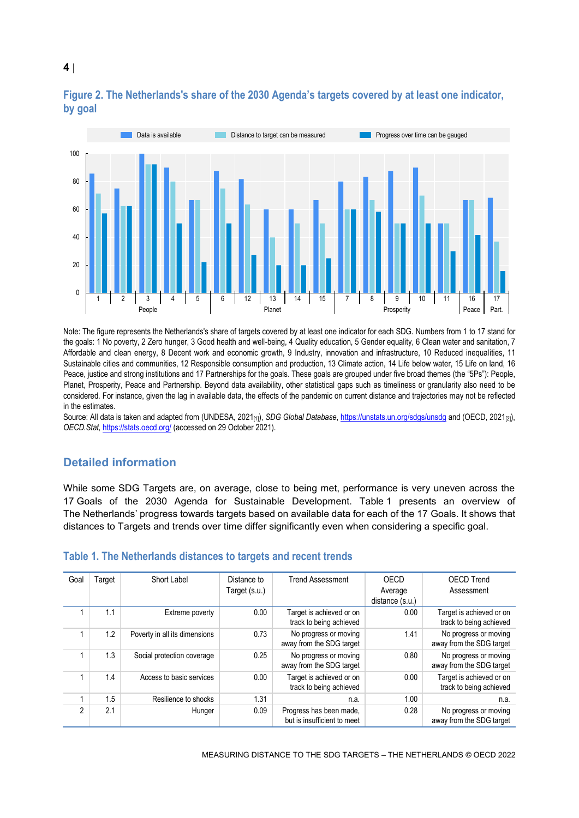

## <span id="page-3-1"></span>**Figure 2. The Netherlands's share of the 2030 Agenda's targets covered by at least one indicator, by goal**

Note: The figure represents the Netherlands's share of targets covered by at least one indicator for each SDG. Numbers from 1 to 17 stand for the goals: 1 No poverty, 2 Zero hunger, 3 Good health and well-being, 4 Quality education, 5 Gender equality, 6 Clean water and sanitation, 7 Affordable and clean energy, 8 Decent work and economic growth, 9 Industry, innovation and infrastructure, 10 Reduced inequalities, 11 Sustainable cities and communities, 12 Responsible consumption and production, 13 Climate action, 14 Life below water, 15 Life on land, 16 Peace, justice and strong institutions and 17 Partnerships for the goals. These goals are grouped under five broad themes (the "5Ps"): People, Planet, Prosperity, Peace and Partnership. Beyond data availability, other statistical gaps such as timeliness or granularity also need to be considered. For instance, given the lag in available data, the effects of the pandemic on current distance and trajectories may not be reflected in the estimates.

Source: All data is taken and adapted from (UNDESA, 2021<sub>[1]</sub>), *SDG Global Database*[, https://unstats.un.org/sdgs/unsdg](https://unstats.un.org/sdgs/unsdg) and (OECD, 2021<sub>[2]</sub>), *OECD.Stat,* <https://stats.oecd.org/> (accessed on 29 October 2021).

## **Detailed information**

While some SDG Targets are, on average, close to being met, performance is very uneven across the 17 Goals of the 2030 Agenda for Sustainable Development. [Table](#page-3-0) 1 presents an overview of The Netherlands' progress towards targets based on available data for each of the 17 Goals. It shows that distances to Targets and trends over time differ significantly even when considering a specific goal.

| Goal | Target | Short Label                   | Distance to<br>Target (s.u.) | <b>Trend Assessment</b>                                | OECD<br>Average | <b>OECD Trend</b><br>Assessment                     |
|------|--------|-------------------------------|------------------------------|--------------------------------------------------------|-----------------|-----------------------------------------------------|
|      |        |                               |                              |                                                        | distance (s.u.) |                                                     |
|      | 1.1    | Extreme poverty               | 0.00                         | Target is achieved or on<br>track to being achieved    | 0.00            | Target is achieved or on<br>track to being achieved |
|      | 1.2    | Poverty in all its dimensions | 0.73                         | No progress or moving<br>away from the SDG target      | 1.41            | No progress or moving<br>away from the SDG target   |
|      | 1.3    | Social protection coverage    | 0.25                         | No progress or moving<br>away from the SDG target      | 0.80            | No progress or moving<br>away from the SDG target   |
|      | 1.4    | Access to basic services      | 0.00                         | Target is achieved or on<br>track to being achieved    | 0.00            | Target is achieved or on<br>track to being achieved |
|      | 1.5    | Resilience to shocks          | 1.31                         | n.a.                                                   | 1.00            | n.a.                                                |
| 2    | 2.1    | Hunger                        | 0.09                         | Progress has been made,<br>but is insufficient to meet | 0.28            | No progress or moving<br>away from the SDG target   |

#### <span id="page-3-0"></span>**Table 1. The Netherlands distances to targets and recent trends**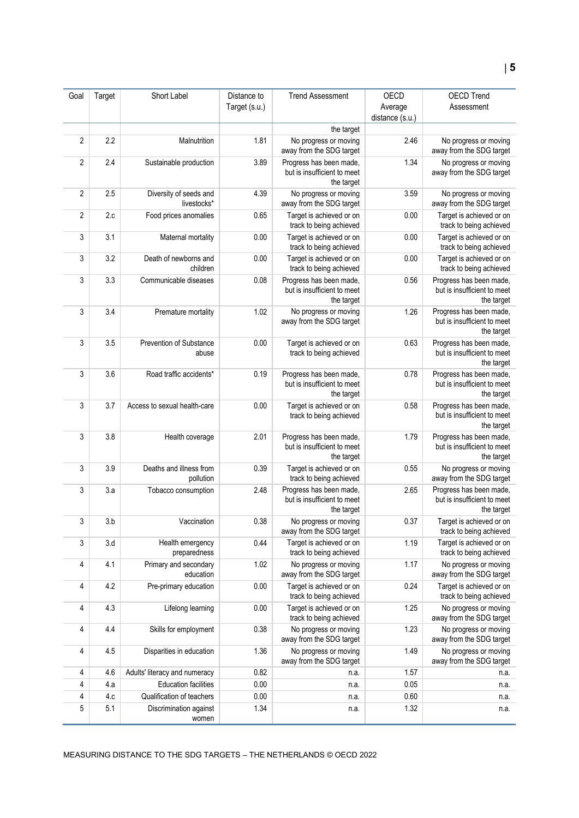|                |        |                                       |                              | <b>Trend Assessment</b>                                              |                 |                                                                      |
|----------------|--------|---------------------------------------|------------------------------|----------------------------------------------------------------------|-----------------|----------------------------------------------------------------------|
| Goal           | Target | Short Label                           | Distance to<br>Target (s.u.) |                                                                      | OECD<br>Average | <b>OECD Trend</b><br>Assessment                                      |
|                |        |                                       |                              |                                                                      | distance (s.u.) |                                                                      |
|                |        |                                       |                              | the target                                                           |                 |                                                                      |
| $\overline{2}$ | 2.2    | Malnutrition                          | 1.81                         | No progress or moving<br>away from the SDG target                    | 2.46            | No progress or moving<br>away from the SDG target                    |
| $\overline{2}$ | 2.4    | Sustainable production                | 3.89                         | Progress has been made,<br>but is insufficient to meet<br>the target | 1.34            | No progress or moving<br>away from the SDG target                    |
| $\overline{2}$ | 2.5    | Diversity of seeds and<br>livestocks* | 4.39                         | No progress or moving<br>away from the SDG target                    | 3.59            | No progress or moving<br>away from the SDG target                    |
| $\overline{2}$ | 2.c    | Food prices anomalies                 | 0.65                         | Target is achieved or on<br>track to being achieved                  | 0.00            | Target is achieved or on<br>track to being achieved                  |
| 3              | 3.1    | Maternal mortality                    | 0.00                         | Target is achieved or on<br>track to being achieved                  | 0.00            | Target is achieved or on<br>track to being achieved                  |
| 3              | 3.2    | Death of newborns and<br>children     | 0.00                         | Target is achieved or on<br>track to being achieved                  | 0.00            | Target is achieved or on<br>track to being achieved                  |
| 3              | 3.3    | Communicable diseases                 | 0.08                         | Progress has been made,<br>but is insufficient to meet<br>the target | 0.56            | Progress has been made,<br>but is insufficient to meet<br>the target |
| 3              | 3.4    | Premature mortality                   | 1.02                         | No progress or moving<br>away from the SDG target                    | 1.26            | Progress has been made,<br>but is insufficient to meet<br>the target |
| 3              | 3.5    | Prevention of Substance<br>abuse      | 0.00                         | Target is achieved or on<br>track to being achieved                  | 0.63            | Progress has been made,<br>but is insufficient to meet<br>the target |
| 3              | 3.6    | Road traffic accidents*               | 0.19                         | Progress has been made,<br>but is insufficient to meet<br>the target | 0.78            | Progress has been made,<br>but is insufficient to meet<br>the target |
| 3              | 3.7    | Access to sexual health-care          | 0.00                         | Target is achieved or on<br>track to being achieved                  | 0.58            | Progress has been made,<br>but is insufficient to meet<br>the target |
| 3              | 3.8    | Health coverage                       | 2.01                         | Progress has been made,<br>but is insufficient to meet<br>the target | 1.79            | Progress has been made,<br>but is insufficient to meet<br>the target |
| 3              | 3.9    | Deaths and illness from<br>pollution  | 0.39                         | Target is achieved or on<br>track to being achieved                  | 0.55            | No progress or moving<br>away from the SDG target                    |
| 3              | 3.a    | Tobacco consumption                   | 2.48                         | Progress has been made,<br>but is insufficient to meet<br>the target | 2.65            | Progress has been made,<br>but is insufficient to meet<br>the target |
| 3              | 3.b    | Vaccination                           | 0.38                         | No progress or moving<br>away from the SDG target                    | 0.37            | Target is achieved or on<br>track to being achieved                  |
| $\sqrt{3}$     | 3.d    | Health emergency<br>preparedness      | 0.44                         | Target is achieved or on<br>track to being achieved                  | 1.19            | Target is achieved or on<br>track to being achieved                  |
| 4              | 4.1    | Primary and secondary<br>education    | 1.02                         | No progress or moving<br>away from the SDG target                    | 1.17            | No progress or moving<br>away from the SDG target                    |
| 4              | 4.2    | Pre-primary education                 | 0.00                         | Target is achieved or on<br>track to being achieved                  | 0.24            | Target is achieved or on<br>track to being achieved                  |
| 4              | 4.3    | Lifelong learning                     | 0.00                         | Target is achieved or on<br>track to being achieved                  | 1.25            | No progress or moving<br>away from the SDG target                    |
| 4              | 4.4    | Skills for employment                 | 0.38                         | No progress or moving<br>away from the SDG target                    | 1.23            | No progress or moving<br>away from the SDG target                    |
| 4              | 4.5    | Disparities in education              | 1.36                         | No progress or moving<br>away from the SDG target                    | 1.49            | No progress or moving<br>away from the SDG target                    |
| 4              | 4.6    | Adults' literacy and numeracy         | 0.82                         | n.a.                                                                 | 1.57            | n.a.                                                                 |
| $\overline{4}$ | 4.a    | <b>Education facilities</b>           | 0.00                         | n.a.                                                                 | 0.05            | n.a.                                                                 |
| 4              | 4.c    | Qualification of teachers             | 0.00                         | n.a.                                                                 | 0.60            | n.a.                                                                 |
| $\sqrt{5}$     | 5.1    | Discrimination against<br>women       | 1.34                         | n.a.                                                                 | 1.32            | n.a.                                                                 |

MEASURING DISTANCE TO THE SDG TARGETS – THE NETHERLANDS © OECD 2022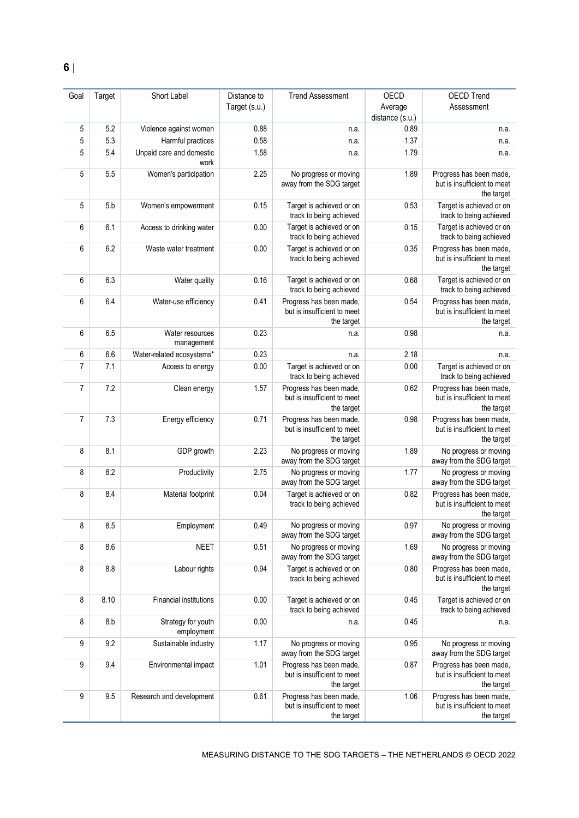| Goal           | Target     | Short Label                      | Distance to   | <b>Trend Assessment</b>                                              | OECD                       | <b>OECD Trend</b>                                                    |
|----------------|------------|----------------------------------|---------------|----------------------------------------------------------------------|----------------------------|----------------------------------------------------------------------|
|                |            |                                  | Target (s.u.) |                                                                      | Average<br>distance (s.u.) | Assessment                                                           |
| 5              | 5.2        | Violence against women           | 0.88          | n.a.                                                                 | 0.89                       | n.a.                                                                 |
| 5<br>5         | 5.3<br>5.4 | Harmful practices                | 0.58<br>1.58  | n.a.                                                                 | 1.37<br>1.79               | n.a.                                                                 |
|                |            | Unpaid care and domestic<br>work |               | n.a.                                                                 |                            | n.a.                                                                 |
| 5              | 5.5        | Women's participation            | 2.25          | No progress or moving<br>away from the SDG target                    | 1.89                       | Progress has been made,<br>but is insufficient to meet<br>the target |
| 5              | 5.b        | Women's empowerment              | 0.15          | Target is achieved or on<br>track to being achieved                  | 0.53                       | Target is achieved or on<br>track to being achieved                  |
| 6              | 6.1        | Access to drinking water         | 0.00          | Target is achieved or on<br>track to being achieved                  | 0.15                       | Target is achieved or on<br>track to being achieved                  |
| 6              | 6.2        | Waste water treatment            | 0.00          | Target is achieved or on<br>track to being achieved                  | 0.35                       | Progress has been made,<br>but is insufficient to meet<br>the target |
| 6              | 6.3        | Water quality                    | 0.16          | Target is achieved or on<br>track to being achieved                  | 0.68                       | Target is achieved or on<br>track to being achieved                  |
| 6              | 6.4        | Water-use efficiency             | 0.41          | Progress has been made,<br>but is insufficient to meet<br>the target | 0.54                       | Progress has been made,<br>but is insufficient to meet<br>the target |
| 6              | 6.5        | Water resources<br>management    | 0.23          | n.a.                                                                 | 0.98                       | n.a.                                                                 |
| 6              | 6.6        | Water-related ecosystems*        | 0.23          | n.a.                                                                 | 2.18                       | n.a.                                                                 |
| $\overline{7}$ | 7.1        | Access to energy                 | 0.00          | Target is achieved or on<br>track to being achieved                  | 0.00                       | Target is achieved or on<br>track to being achieved                  |
| $\overline{7}$ | 7.2        | Clean energy                     | 1.57          | Progress has been made,<br>but is insufficient to meet<br>the target | 0.62                       | Progress has been made,<br>but is insufficient to meet<br>the target |
| $\overline{7}$ | 7.3        | Energy efficiency                | 0.71          | Progress has been made,<br>but is insufficient to meet<br>the target | 0.98                       | Progress has been made,<br>but is insufficient to meet<br>the target |
| 8              | 8.1        | GDP growth                       | 2.23          | No progress or moving<br>away from the SDG target                    | 1.89                       | No progress or moving<br>away from the SDG target                    |
| 8              | 8.2        | Productivity                     | 2.75          | No progress or moving<br>away from the SDG target                    | 1.77                       | No progress or moving<br>away from the SDG target                    |
| 8              | 8.4        | Material footprint               | 0.04          | Target is achieved or on<br>track to being achieved                  | 0.82                       | Progress has been made,<br>but is insufficient to meet<br>the target |
| 8              | 8.5        | Employment                       | 0.49          | No progress or moving<br>away from the SDG target                    | 0.97                       | No progress or moving<br>away from the SDG target                    |
| 8              | 8.6        | <b>NEET</b>                      | 0.51          | No progress or moving<br>away from the SDG target                    | 1.69                       | No progress or moving<br>away from the SDG target                    |
| 8              | 8.8        | Labour rights                    | 0.94          | Target is achieved or on<br>track to being achieved                  | 0.80                       | Progress has been made,<br>but is insufficient to meet<br>the target |
| 8              | 8.10       | Financial institutions           | 0.00          | Target is achieved or on<br>track to being achieved                  | 0.45                       | Target is achieved or on<br>track to being achieved                  |
| 8              | 8.b        | Strategy for youth<br>employment | 0.00          | n.a.                                                                 | 0.45                       | n.a.                                                                 |
| 9              | 9.2        | Sustainable industry             | 1.17          | No progress or moving<br>away from the SDG target                    | 0.95                       | No progress or moving<br>away from the SDG target                    |
| 9              | 9.4        | Environmental impact             | 1.01          | Progress has been made,<br>but is insufficient to meet<br>the target | 0.87                       | Progress has been made,<br>but is insufficient to meet<br>the target |
| 9              | 9.5        | Research and development         | 0.61          | Progress has been made,<br>but is insufficient to meet<br>the target | 1.06                       | Progress has been made,<br>but is insufficient to meet<br>the target |

MEASURING DISTANCE TO THE SDG TARGETS – THE NETHERLANDS © OECD 2022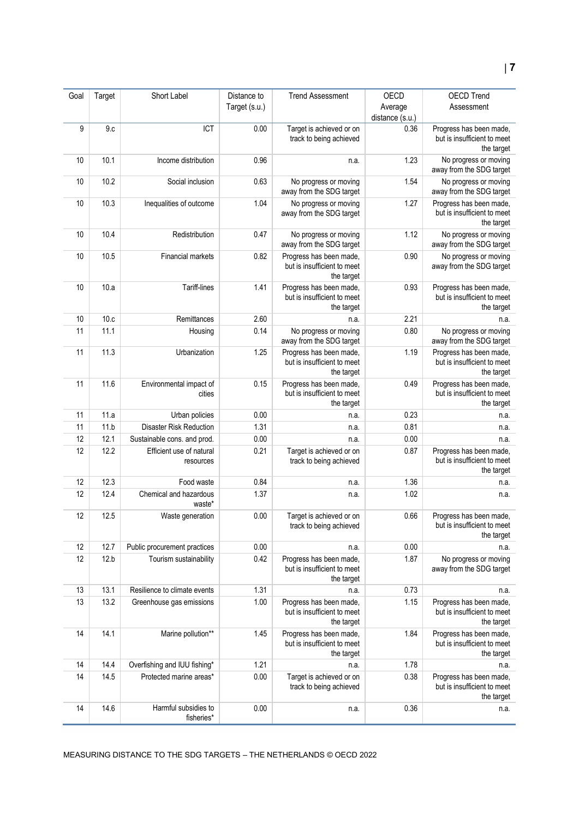| Goal | Target | Short Label                           | Distance to<br>Target (s.u.) | <b>Trend Assessment</b>                                              | <b>OECD</b><br>Average<br>distance (s.u.) | <b>OECD Trend</b><br>Assessment                                      |
|------|--------|---------------------------------------|------------------------------|----------------------------------------------------------------------|-------------------------------------------|----------------------------------------------------------------------|
| 9    | 9.c    | ICT                                   | 0.00                         | Target is achieved or on<br>track to being achieved                  | 0.36                                      | Progress has been made,<br>but is insufficient to meet<br>the target |
| 10   | 10.1   | Income distribution                   | 0.96                         | n.a.                                                                 | 1.23                                      | No progress or moving<br>away from the SDG target                    |
| 10   | 10.2   | Social inclusion                      | 0.63                         | No progress or moving<br>away from the SDG target                    | 1.54                                      | No progress or moving<br>away from the SDG target                    |
| 10   | 10.3   | Inequalities of outcome               | 1.04                         | No progress or moving<br>away from the SDG target                    | 1.27                                      | Progress has been made,<br>but is insufficient to meet<br>the target |
| 10   | 10.4   | Redistribution                        | 0.47                         | No progress or moving<br>away from the SDG target                    | 1.12                                      | No progress or moving<br>away from the SDG target                    |
| 10   | 10.5   | Financial markets                     | 0.82                         | Progress has been made,<br>but is insufficient to meet<br>the target | 0.90                                      | No progress or moving<br>away from the SDG target                    |
| 10   | 10.a   | Tariff-lines                          | 1.41                         | Progress has been made,<br>but is insufficient to meet<br>the target | 0.93                                      | Progress has been made,<br>but is insufficient to meet<br>the target |
| 10   | 10.c   | Remittances                           | 2.60                         | n.a.                                                                 | 2.21                                      | n.a.                                                                 |
| 11   | 11.1   | Housing                               | 0.14                         | No progress or moving<br>away from the SDG target                    | 0.80                                      | No progress or moving<br>away from the SDG target                    |
| 11   | 11.3   | Urbanization                          | 1.25                         | Progress has been made,<br>but is insufficient to meet<br>the target | 1.19                                      | Progress has been made,<br>but is insufficient to meet<br>the target |
| 11   | 11.6   | Environmental impact of<br>cities     | 0.15                         | Progress has been made,<br>but is insufficient to meet<br>the target | 0.49                                      | Progress has been made,<br>but is insufficient to meet<br>the target |
| 11   | 11.a   | Urban policies                        | 0.00                         | n.a.                                                                 | 0.23                                      | n.a.                                                                 |
| 11   | 11.b   | <b>Disaster Risk Reduction</b>        | 1.31                         | n.a.                                                                 | 0.81                                      | n.a.                                                                 |
| 12   | 12.1   | Sustainable cons. and prod.           | 0.00                         | n.a.                                                                 | 0.00                                      | n.a.                                                                 |
| 12   | 12.2   | Efficient use of natural<br>resources | 0.21                         | Target is achieved or on<br>track to being achieved                  | 0.87                                      | Progress has been made,<br>but is insufficient to meet<br>the target |
| 12   | 12.3   | Food waste                            | 0.84                         | n.a.                                                                 | 1.36                                      | n.a.                                                                 |
| 12   | 12.4   | Chemical and hazardous<br>waste*      | 1.37                         | n.a.                                                                 | 1.02                                      | n.a.                                                                 |
| 12   | 12.5   | Waste generation                      | 0.00                         | Target is achieved or on<br>track to being achieved                  | 0.66                                      | Progress has been made,<br>but is insufficient to meet<br>the target |
| 12   | 12.7   | Public procurement practices          | 0.00                         | n.a.                                                                 | 0.00                                      | n.a.                                                                 |
| 12   | 12.b   | Tourism sustainability                | 0.42                         | Progress has been made,<br>but is insufficient to meet<br>the target | 1.87                                      | No progress or moving<br>away from the SDG target                    |
| 13   | 13.1   | Resilience to climate events          | 1.31                         | n.a.                                                                 | 0.73                                      | n.a.                                                                 |
| 13   | 13.2   | Greenhouse gas emissions              | 1.00                         | Progress has been made,<br>but is insufficient to meet<br>the target | 1.15                                      | Progress has been made,<br>but is insufficient to meet<br>the target |
| 14   | 14.1   | Marine pollution**                    | 1.45                         | Progress has been made,<br>but is insufficient to meet<br>the target | 1.84                                      | Progress has been made,<br>but is insufficient to meet<br>the target |
| 14   | 14.4   | Overfishing and IUU fishing*          | 1.21                         | n.a.                                                                 | 1.78                                      | n.a.                                                                 |
| 14   | 14.5   | Protected marine areas*               | 0.00                         | Target is achieved or on<br>track to being achieved                  | 0.38                                      | Progress has been made,<br>but is insufficient to meet<br>the target |
| 14   | 14.6   | Harmful subsidies to<br>fisheries*    | 0.00                         | n.a.                                                                 | 0.36                                      | n.a.                                                                 |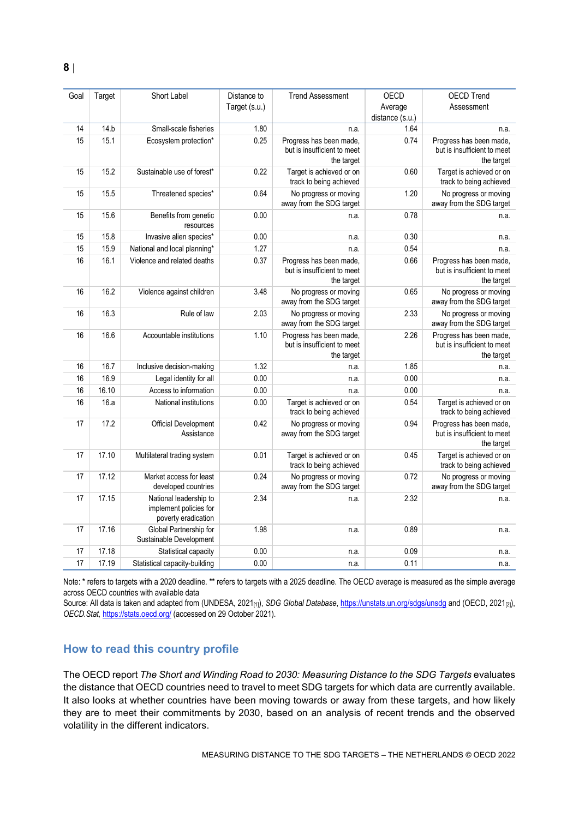| Goal | Target | Short Label                                                             | Distance to   | <b>Trend Assessment</b>                                              | <b>OECD</b>     | <b>OECD Trend</b>                                                    |
|------|--------|-------------------------------------------------------------------------|---------------|----------------------------------------------------------------------|-----------------|----------------------------------------------------------------------|
|      |        |                                                                         | Target (s.u.) |                                                                      | Average         | Assessment                                                           |
|      |        |                                                                         |               |                                                                      | distance (s.u.) |                                                                      |
| 14   | 14.b   | Small-scale fisheries                                                   | 1.80          | n.a.                                                                 | 1.64            | n.a.                                                                 |
| 15   | 15.1   | Ecosystem protection*                                                   | 0.25          | Progress has been made,                                              | 0.74            | Progress has been made,                                              |
|      |        |                                                                         |               | but is insufficient to meet                                          |                 | but is insufficient to meet                                          |
|      |        |                                                                         |               | the target                                                           |                 | the target                                                           |
| 15   | 15.2   | Sustainable use of forest*                                              | 0.22          | Target is achieved or on<br>track to being achieved                  | 0.60            | Target is achieved or on<br>track to being achieved                  |
| 15   | 15.5   | Threatened species*                                                     | 0.64          | No progress or moving<br>away from the SDG target                    | 1.20            | No progress or moving<br>away from the SDG target                    |
| 15   | 15.6   | Benefits from genetic<br>resources                                      | 0.00          | n.a.                                                                 | 0.78            | n.a.                                                                 |
| 15   | 15.8   | Invasive alien species*                                                 | 0.00          | n.a.                                                                 | 0.30            | n.a.                                                                 |
| 15   | 15.9   | National and local planning*                                            | 1.27          | n.a.                                                                 | 0.54            | n.a.                                                                 |
| 16   | 16.1   | Violence and related deaths                                             | 0.37          | Progress has been made,                                              | 0.66            | Progress has been made,                                              |
|      |        |                                                                         |               | but is insufficient to meet                                          |                 | but is insufficient to meet                                          |
|      |        |                                                                         |               | the target                                                           |                 | the target                                                           |
| 16   | 16.2   | Violence against children                                               | 3.48          | No progress or moving                                                | 0.65            | No progress or moving                                                |
|      |        |                                                                         |               | away from the SDG target                                             |                 | away from the SDG target                                             |
| 16   | 16.3   | Rule of law                                                             | 2.03          | No progress or moving<br>away from the SDG target                    | 2.33            | No progress or moving<br>away from the SDG target                    |
| 16   | 16.6   | Accountable institutions                                                | 1.10          | Progress has been made,<br>but is insufficient to meet<br>the target | 2.26            | Progress has been made,<br>but is insufficient to meet<br>the target |
| 16   | 16.7   | Inclusive decision-making                                               | 1.32          | n.a.                                                                 | 1.85            | n.a.                                                                 |
| 16   | 16.9   | Legal identity for all                                                  | 0.00          | n.a.                                                                 | 0.00            | n.a.                                                                 |
| 16   | 16.10  | Access to information                                                   | 0.00          | n.a.                                                                 | 0.00            | n.a.                                                                 |
| 16   | 16.a   | National institutions                                                   | 0.00          | Target is achieved or on                                             | 0.54            | Target is achieved or on                                             |
|      |        |                                                                         |               | track to being achieved                                              |                 | track to being achieved                                              |
| 17   | 17.2   | Official Development<br>Assistance                                      | 0.42          | No progress or moving<br>away from the SDG target                    | 0.94            | Progress has been made,<br>but is insufficient to meet<br>the target |
| 17   | 17.10  | Multilateral trading system                                             | 0.01          | Target is achieved or on<br>track to being achieved                  | 0.45            | Target is achieved or on<br>track to being achieved                  |
| 17   | 17.12  | Market access for least<br>developed countries                          | 0.24          | No progress or moving<br>away from the SDG target                    | 0.72            | No progress or moving<br>away from the SDG target                    |
| 17   | 17.15  | National leadership to<br>implement policies for<br>poverty eradication | 2.34          | n.a.                                                                 | 2.32            | n.a.                                                                 |
| 17   | 17.16  | Global Partnership for<br>Sustainable Development                       | 1.98          | n.a.                                                                 | 0.89            | n.a.                                                                 |
| 17   | 17.18  | Statistical capacity                                                    | 0.00          | n.a.                                                                 | 0.09            | n.a.                                                                 |
| 17   | 17.19  | Statistical capacity-building                                           | 0.00          | n.a.                                                                 | 0.11            | n.a.                                                                 |

Note: \* refers to targets with a 2020 deadline. \*\* refers to targets with a 2025 deadline. The OECD average is measured as the simple average across OECD countries with available data

Source: All data is taken and adapted from (UNDESA, 2021<sub>[1]</sub>), *SDG Global Database*[, https://unstats.un.org/sdgs/unsdg](https://unstats.un.org/sdgs/unsdg) and (OECD, 2021<sub>[2]</sub>), *OECD.Stat,* <https://stats.oecd.org/> (accessed on 29 October 2021).

## <span id="page-7-0"></span>**How to read this country profile**

The OECD report *The Short and Winding Road to 2030: Measuring Distance to the SDG Targets* evaluates the distance that OECD countries need to travel to meet SDG targets for which data are currently available. It also looks at whether countries have been moving towards or away from these targets, and how likely they are to meet their commitments by 2030, based on an analysis of recent trends and the observed volatility in the different indicators.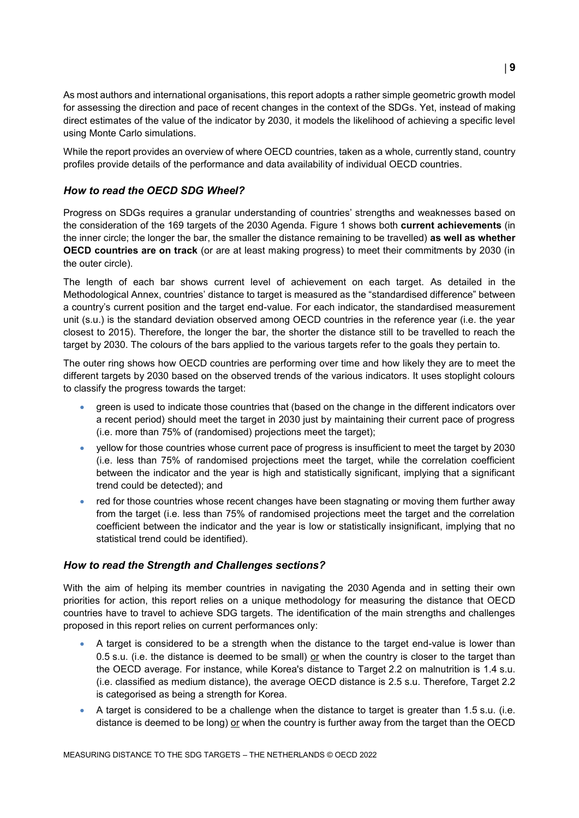As most authors and international organisations, this report adopts a rather simple geometric growth model for assessing the direction and pace of recent changes in the context of the SDGs. Yet, instead of making direct estimates of the value of the indicator by 2030, it models the likelihood of achieving a specific level using Monte Carlo simulations.

While the report provides an overview of where OECD countries, taken as a whole, currently stand, country profiles provide details of the performance and data availability of individual OECD countries.

## *How to read the OECD SDG Wheel?*

Progress on SDGs requires a granular understanding of countries' strengths and weaknesses based on the consideration of the 169 targets of the 2030 Agenda. [Figure](#page-0-0) 1 shows both **current achievements** (in the inner circle; the longer the bar, the smaller the distance remaining to be travelled) **as well as whether OECD countries are on track** (or are at least making progress) to meet their commitments by 2030 (in the outer circle).

The length of each bar shows current level of achievement on each target. As detailed in the Methodological Annex, countries' distance to target is measured as the "standardised difference" between a country's current position and the target end-value. For each indicator, the standardised measurement unit (s.u.) is the standard deviation observed among OECD countries in the reference year (i.e. the year closest to 2015). Therefore, the longer the bar, the shorter the distance still to be travelled to reach the target by 2030. The colours of the bars applied to the various targets refer to the goals they pertain to.

The outer ring shows how OECD countries are performing over time and how likely they are to meet the different targets by 2030 based on the observed trends of the various indicators. It uses stoplight colours to classify the progress towards the target:

- green is used to indicate those countries that (based on the change in the different indicators over a recent period) should meet the target in 2030 just by maintaining their current pace of progress (i.e. more than 75% of (randomised) projections meet the target);
- yellow for those countries whose current pace of progress is insufficient to meet the target by 2030 (i.e. less than 75% of randomised projections meet the target, while the correlation coefficient between the indicator and the year is high and statistically significant, implying that a significant trend could be detected); and
- red for those countries whose recent changes have been stagnating or moving them further away from the target (i.e. less than 75% of randomised projections meet the target and the correlation coefficient between the indicator and the year is low or statistically insignificant, implying that no statistical trend could be identified).

## *How to read the Strength and Challenges sections?*

With the aim of helping its member countries in navigating the 2030 Agenda and in setting their own priorities for action, this report relies on a unique methodology for measuring the distance that OECD countries have to travel to achieve SDG targets. The identification of the main strengths and challenges proposed in this report relies on current performances only:

- A target is considered to be a strength when the distance to the target end-value is lower than 0.5 s.u. (i.e. the distance is deemed to be small) or when the country is closer to the target than the OECD average. For instance, while Korea's distance to Target 2.2 on malnutrition is 1.4 s.u. (i.e. classified as medium distance), the average OECD distance is 2.5 s.u. Therefore, Target 2.2 is categorised as being a strength for Korea.
- A target is considered to be a challenge when the distance to target is greater than 1.5 s.u. (i.e. distance is deemed to be long) or when the country is further away from the target than the OECD